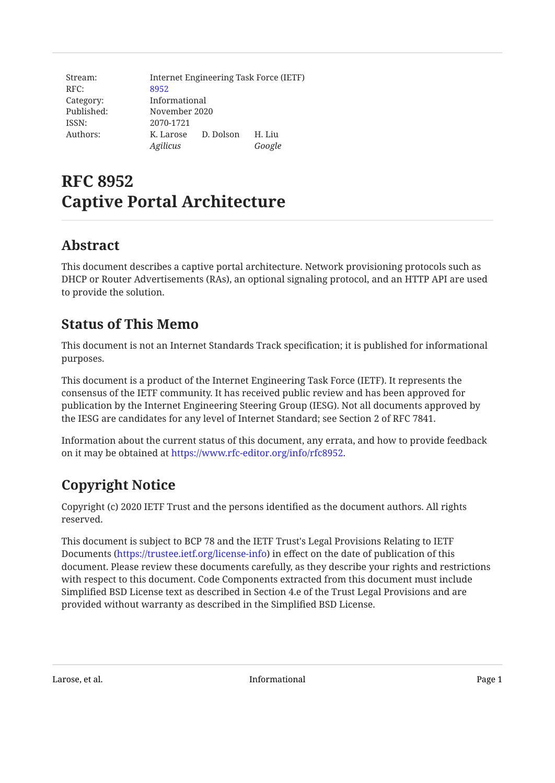| Stream:    |               |               | Internet Engineering Task Force (IETF) |  |
|------------|---------------|---------------|----------------------------------------|--|
| RFC:       | 8952          |               |                                        |  |
| Category:  | Informational |               |                                        |  |
| Published: |               | November 2020 |                                        |  |
| ISSN:      | 2070-1721     |               |                                        |  |
| Authors:   | K. Larose     | D. Dolson     | H. Liu                                 |  |
|            | Agilicus      |               | Google                                 |  |

# **RFC 8952 Captive Portal Architecture**

# <span id="page-0-0"></span>**[Abstract](#page-0-0)**

This document describes a captive portal architecture. Network provisioning protocols such as DHCP or Router Advertisements (RAs), an optional signaling protocol, and an HTTP API are used to provide the solution.

# <span id="page-0-1"></span>**[Status of This Memo](#page-0-1)**

This document is not an Internet Standards Track specification; it is published for informational purposes.

This document is a product of the Internet Engineering Task Force (IETF). It represents the consensus of the IETF community. It has received public review and has been approved for publication by the Internet Engineering Steering Group (IESG). Not all documents approved by the IESG are candidates for any level of Internet Standard; see Section 2 of RFC 7841.

Information about the current status of this document, any errata, and how to provide feedback on it may be obtained at <https://www.rfc-editor.org/info/rfc8952>.

# <span id="page-0-2"></span>**[Copyright Notice](#page-0-2)**

Copyright (c) 2020 IETF Trust and the persons identified as the document authors. All rights reserved.

This document is subject to BCP 78 and the IETF Trust's Legal Provisions Relating to IETF Documents (<https://trustee.ietf.org/license-info>) in effect on the date of publication of this document. Please review these documents carefully, as they describe your rights and restrictions with respect to this document. Code Components extracted from this document must include Simplified BSD License text as described in Section 4.e of the Trust Legal Provisions and are provided without warranty as described in the Simplified BSD License.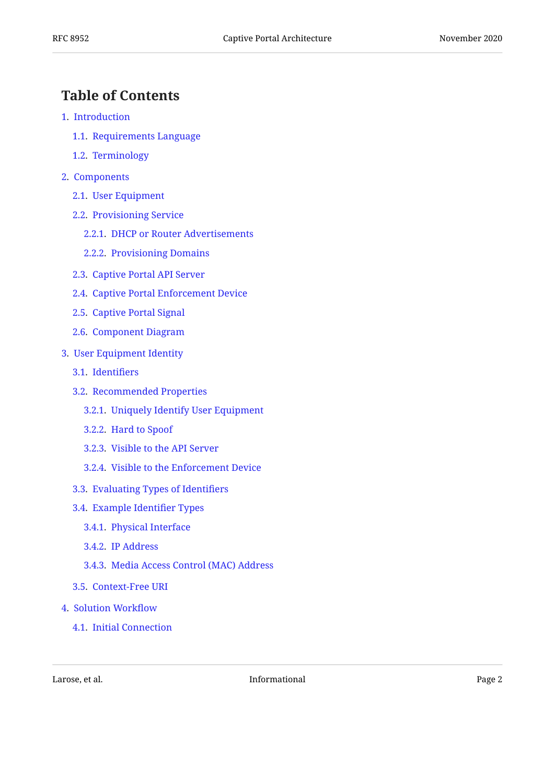# <span id="page-1-0"></span>**[Table of Contents](#page-1-0)**

- [1.](#page-2-0) [Introduction](#page-2-0)
	- [1.1.](#page-4-0) [Requirements Language](#page-4-0)
	- [1.2.](#page-4-1) [Terminology](#page-4-1)
- [2.](#page-5-0) [Components](#page-5-0)
	- [2.1.](#page-5-1) [User Equipment](#page-5-1)
	- [2.2.](#page-6-0) [Provisioning Service](#page-6-0)
		- [2.2.1.](#page-6-1) [DHCP or Router Advertisements](#page-6-1)
		- [2.2.2.](#page-6-2) [Provisioning Domains](#page-6-2)
	- [2.3.](#page-6-3) [Captive Portal API Server](#page-6-3)
	- [2.4.](#page-7-0) [Captive Portal Enforcement Device](#page-7-0)
	- [2.5.](#page-7-1) [Captive Portal Signal](#page-7-1)
	- [2.6.](#page-8-0) [Component Diagram](#page-8-0)
- [3.](#page-9-0) [User Equipment Identity](#page-9-0)
	- [3.1.](#page-9-1) [Identi](#page-9-1)fiers
	- [3.2.](#page-9-2) [Recommended Properties](#page-9-2)
		- [3.2.1.](#page-10-0) [Uniquely Identify User Equipment](#page-10-0)
		- [3.2.2.](#page-10-1) [Hard to Spoof](#page-10-1)
		- [3.2.3.](#page-10-2) [Visible to the API Server](#page-10-2)
		- [3.2.4.](#page-10-3) [Visible to the Enforcement Device](#page-10-3)
	- [3.3.](#page-10-4) [Evaluating Types of Identi](#page-10-4)fiers
	- [3.4.](#page-11-0) [Example Identi](#page-11-0)fier Types
		- [3.4.1.](#page-11-1) [Physical Interface](#page-11-1)
		- [3.4.2.](#page-11-2) [IP Address](#page-11-2)
		- [3.4.3.](#page-12-0) [Media Access Control \(MAC\) Address](#page-12-0)
	- [3.5.](#page-12-1) [Context-Free URI](#page-12-1)
- [4.](#page-13-0) [Solution Work](#page-13-0)flow
	- [4.1.](#page-13-1) [Initial Connection](#page-13-1)

Larose, et al. 2008 and 2012 and 2013 and 2014 and 2013 and 2014 and 2014 and 2014 and 2014 and 2014 and 2014 and 2014 and 2014 and 2014 and 2014 and 2014 and 2014 and 2014 and 2014 and 2014 and 2014 and 2014 and 2014 and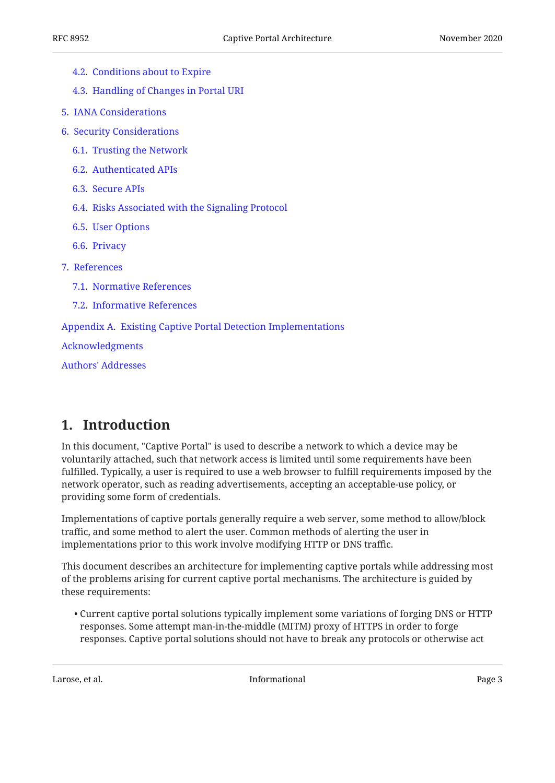| 4.2. Conditions about to Expire |  |
|---------------------------------|--|
|                                 |  |

- [4.3.](#page-14-0) [Handling of Changes in Portal URI](#page-14-0)
- [5.](#page-14-1) [IANA Considerations](#page-14-1)
- [6.](#page-14-2) [Security Considerations](#page-14-2)
	- [6.1.](#page-14-3) [Trusting the Network](#page-14-3)
	- [6.2.](#page-14-4) [Authenticated APIs](#page-14-4)
	- [6.3.](#page-15-0) [Secure APIs](#page-15-0)
	- [6.4.](#page-15-1) [Risks Associated with the Signaling Protocol](#page-15-1)
	- [6.5.](#page-15-2) [User Options](#page-15-2)
	- [6.6.](#page-16-0) [Privacy](#page-16-0)
- [7.](#page-16-1) [References](#page-16-1)
	- [7.1.](#page-16-2) [Normative References](#page-16-2)
	- [7.2.](#page-16-3) [Informative References](#page-16-3)

#### [Appendix A.](#page-17-0) [Existing Captive Portal Detection Implementations](#page-17-0)

[Acknowledgments](#page-17-1)

[Authors' Addresses](#page-18-0)

## <span id="page-2-0"></span>**[1. Introduction](#page-2-0)**

In this document, "Captive Portal" is used to describe a network to which a device may be voluntarily attached, such that network access is limited until some requirements have been fulfilled. Typically, a user is required to use a web browser to fulfill requirements imposed by the network operator, such as reading advertisements, accepting an acceptable-use policy, or providing some form of credentials.

Implementations of captive portals generally require a web server, some method to allow/block traffic, and some method to alert the user. Common methods of alerting the user in implementations prior to this work involve modifying HTTP or DNS traffic.

This document describes an architecture for implementing captive portals while addressing most of the problems arising for current captive portal mechanisms. The architecture is guided by these requirements:

 $\bullet$  Current captive portal solutions typically implement some variations of forging DNS or HTTP responses. Some attempt man-in-the-middle (MITM) proxy of HTTPS in order to forge responses. Captive portal solutions should not have to break any protocols or otherwise act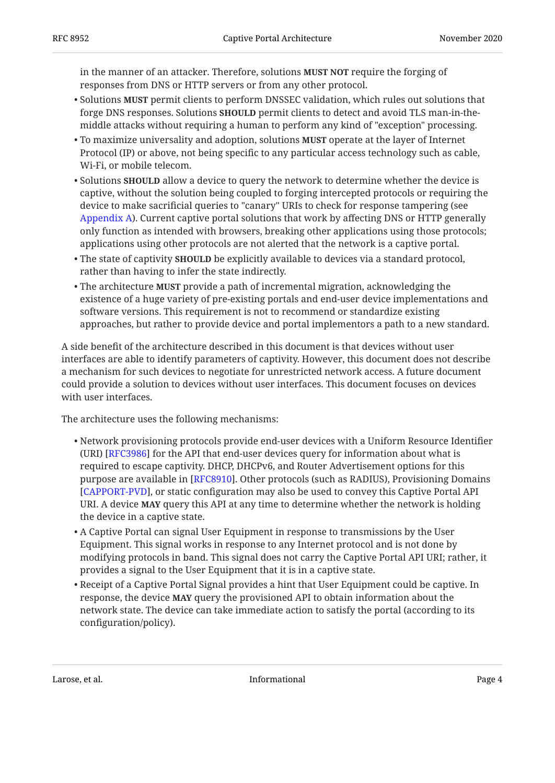in the manner of an attacker. Therefore, solutions **MUST NOT** require the forging of responses from DNS or HTTP servers or from any other protocol.

- Solutions **MUST** permit clients to perform DNSSEC validation, which rules out solutions that forge DNS responses. Solutions **SHOULD** permit clients to detect and avoid TLS man-in-themiddle attacks without requiring a human to perform any kind of "exception" processing.
- $\bullet$  To maximize universality and adoption, solutions **MUST** operate at the layer of Internet Protocol (IP) or above, not being specific to any particular access technology such as cable, Wi-Fi, or mobile telecom.
- Solutions **SHOULD** allow a device to query the network to determine whether the device is captive, without the solution being coupled to forging intercepted protocols or requiring the device to make sacrificial queries to "canary" URIs to check for response tampering (see [Appendix A\)](#page-17-0). Current captive portal solutions that work by affecting DNS or HTTP generally only function as intended with browsers, breaking other applications using those protocols; applications using other protocols are not alerted that the network is a captive portal.
- The state of captivity **SHOULD** be explicitly available to devices via a standard protocol, rather than having to infer the state indirectly.
- $\bullet$  The architecture  $\texttt{MUST}$  provide a path of incremental migration, acknowledging the existence of a huge variety of pre-existing portals and end-user device implementations and software versions. This requirement is not to recommend or standardize existing approaches, but rather to provide device and portal implementors a path to a new standard.

A side benefit of the architecture described in this document is that devices without user interfaces are able to identify parameters of captivity. However, this document does not describe a mechanism for such devices to negotiate for unrestricted network access. A future document could provide a solution to devices without user interfaces. This document focuses on devices with user interfaces.

The architecture uses the following mechanisms:

- $\bullet$  Network provisioning protocols provide end-user devices with a Uniform Resource Identifier (URI) [\[RFC3986](#page-17-2)] for the API that end-user devices query for information about what is required to escape captivity. DHCP, DHCPv6, and Router Advertisement options for this purpose are available in [[RFC8910\]](#page-16-4). Other protocols (such as RADIUS), Provisioning Domains [[CAPPORT-PVD\]](#page-17-3), or static configuration may also be used to convey this Captive Portal API URI. A device **MAY** query this API at any time to determine whether the network is holding the device in a captive state.
- $\bullet$  A Captive Portal can signal User Equipment in response to transmissions by the User Equipment. This signal works in response to any Internet protocol and is not done by modifying protocols in band. This signal does not carry the Captive Portal API URI; rather, it provides a signal to the User Equipment that it is in a captive state.
- $\bullet$  Receipt of a Captive Portal Signal provides a hint that User Equipment could be captive. In response, the device **MAY** query the provisioned API to obtain information about the network state. The device can take immediate action to satisfy the portal (according to its configuration/policy).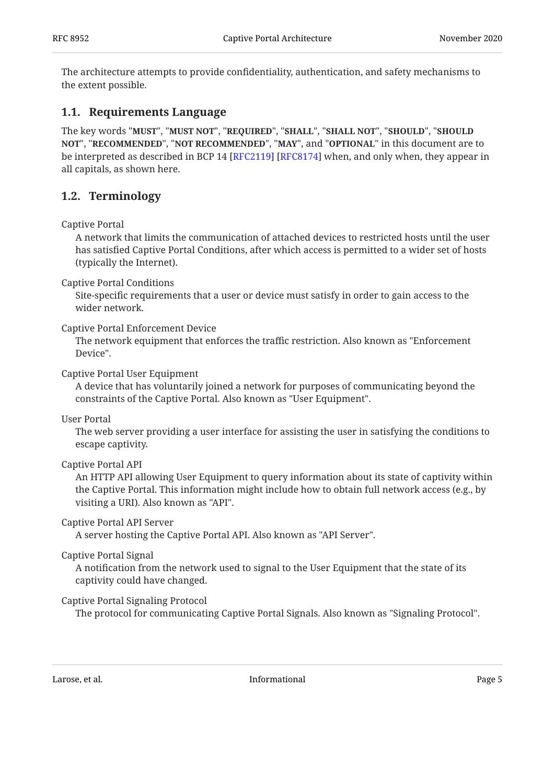The architecture attempts to provide confidentiality, authentication, and safety mechanisms to the extent possible.

#### <span id="page-4-0"></span>**[1.1. Requirements Language](#page-4-0)**

The key words "MUST", "MUST NOT", "REQUIRED", "SHALL", "SHALL NOT", "SHOULD", "SHOULD <code>NOT",</code> "<code>RECOMMENDED", "NOT RECOMMENDED", "MAY", and "OPTIONAL" in this document are to</code> be interpreted as described in BCP 14 [RFC2119] [RFC8174] when, and only when, they appear in all capitals, as shown here.

#### <span id="page-4-1"></span>**[1.2. Terminology](#page-4-1)**

Captive Portal

A network that limits the communication of attached devices to restricted hosts until the user has satisfied Captive Portal Conditions, after which access is permitted to a wider set of hosts (typically the Internet).

Captive Portal Conditions

Site-specific requirements that a user or device must satisfy in order to gain access to the wider network.

Captive Portal Enforcement Device

The network equipment that enforces the traffic restriction. Also known as "Enforcement Device".

Captive Portal User Equipment

A device that has voluntarily joined a network for purposes of communicating beyond the constraints of the Captive Portal. Also known as "User Equipment".

User Portal

The web server providing a user interface for assisting the user in satisfying the conditions to escape captivity.

Captive Portal API

An HTTP API allowing User Equipment to query information about its state of captivity within the Captive Portal. This information might include how to obtain full network access (e.g., by visiting a URI). Also known as "API".

Captive Portal API Server

A server hosting the Captive Portal API. Also known as "API Server".

Captive Portal Signal

A notification from the network used to signal to the User Equipment that the state of its captivity could have changed.

#### Captive Portal Signaling Protocol

The protocol for communicating Captive Portal Signals. Also known as "Signaling Protocol".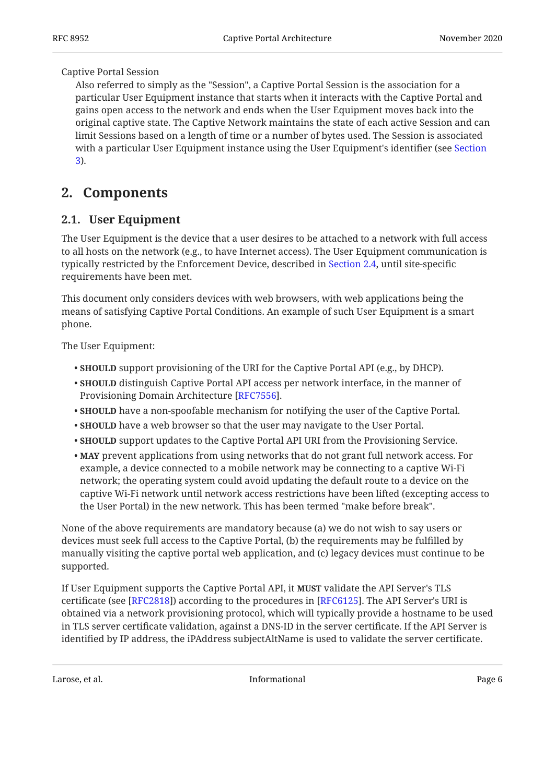#### Captive Portal Session

Also referred to simply as the "Session", a Captive Portal Session is the association for a particular User Equipment instance that starts when it interacts with the Captive Portal and gains open access to the network and ends when the User Equipment moves back into the original captive state. The Captive Network maintains the state of each active Session and can limit Sessions based on a length of time or a number of bytes used. The Session is associated with a particular User Equipment instance using the User Equipment's identifier (see [Section](#page-9-0) [3\)](#page-9-0).

## <span id="page-5-1"></span><span id="page-5-0"></span>**[2. Components](#page-5-0)**

#### **[2.1. User Equipment](#page-5-1)**

The User Equipment is the device that a user desires to be attached to a network with full access to all hosts on the network (e.g., to have Internet access). The User Equipment communication is typically restricted by the Enforcement Device, described in [Section 2.4,](#page-7-0) until site-specific requirements have been met.

This document only considers devices with web browsers, with web applications being the means of satisfying Captive Portal Conditions. An example of such User Equipment is a smart phone.

The User Equipment:

- **SHOULD** support provisioning of the URI for the Captive Portal API (e.g., by DHCP).
- **SHOULD** distinguish Captive Portal API access per network interface, in the manner of Provisioning Domain Architecture [RFC7556].
- **SHOULD** have a non-spoofable mechanism for notifying the user of the Captive Portal.
- **SHOULD** have a web browser so that the user may navigate to the User Portal.
- **SHOULD** support updates to the Captive Portal API URI from the Provisioning Service.
- MAY prevent applications from using networks that do not grant full network access. For example, a device connected to a mobile network may be connecting to a captive Wi-Fi network; the operating system could avoid updating the default route to a device on the captive Wi-Fi network until network access restrictions have been lifted (excepting access to the User Portal) in the new network. This has been termed "make before break".

None of the above requirements are mandatory because (a) we do not wish to say users or devices must seek full access to the Captive Portal, (b) the requirements may be fulfilled by manually visiting the captive portal web application, and (c) legacy devices must continue to be supported.

If User Equipment supports the Captive Portal API, it **MUST** validate the API Server's TLS certificate (see [RFC2818]) according to the procedures in [RFC6125]. The API Server's URI is obtained via a network provisioning protocol, which will typically provide a hostname to be used in TLS server certificate validation, against a DNS-ID in the server certificate. If the API Server is identified by IP address, the iPAddress subjectAltName is used to validate the server certificate.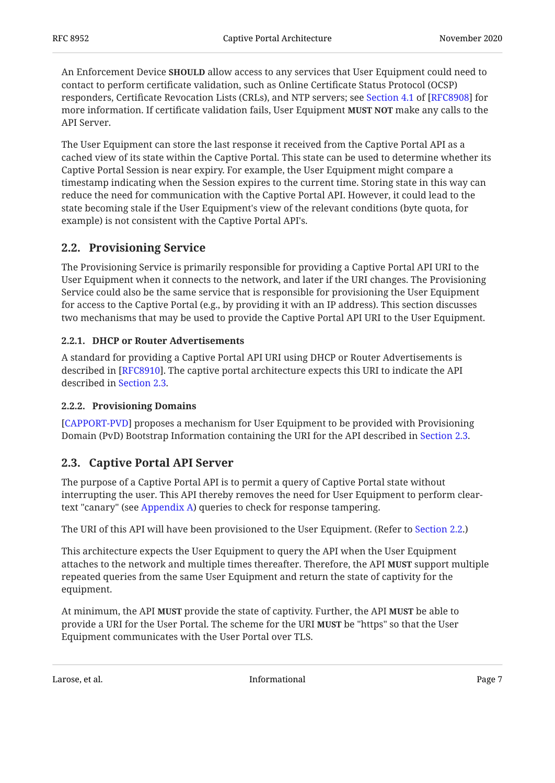An Enforcement Device **SHOULD** allow access to any services that User Equipment could need to contact to perform certificate validation, such as Online Certificate Status Protocol (OCSP) responders,Certificate Revocation Lists (CRLs), and NTP servers; see Section 4.1 of [RFC8908] for more information. If certificate validation fails, User Equipment **MUST NOT** make any calls to the API Server.

The User Equipment can store the last response it received from the Captive Portal API as a cached view of its state within the Captive Portal. This state can be used to determine whether its Captive Portal Session is near expiry. For example, the User Equipment might compare a timestamp indicating when the Session expires to the current time. Storing state in this way can reduce the need for communication with the Captive Portal API. However, it could lead to the state becoming stale if the User Equipment's view of the relevant conditions (byte quota, for example) is not consistent with the Captive Portal API's.

#### <span id="page-6-0"></span>**[2.2. Provisioning Service](#page-6-0)**

The Provisioning Service is primarily responsible for providing a Captive Portal API URI to the User Equipment when it connects to the network, and later if the URI changes. The Provisioning Service could also be the same service that is responsible for provisioning the User Equipment for access to the Captive Portal (e.g., by providing it with an IP address). This section discusses two mechanisms that may be used to provide the Captive Portal API URI to the User Equipment.

#### <span id="page-6-1"></span>**[2.2.1. DHCP or Router Advertisements](#page-6-1)**

A standard for providing a Captive Portal API URI using DHCP or Router Advertisements is described in [RFC8910]. The captive portal architecture expects this URI to indicate the API described in [Section 2.3](#page-6-3).

#### <span id="page-6-2"></span>**[2.2.2. Provisioning Domains](#page-6-2)**

[[CAPPORT-PVD\]](#page-17-3) proposes a mechanism for User Equipment to be provided with Provisioning Domain (PvD) Bootstrap Information containing the URI for the API described in [Section 2.3.](#page-6-3)

#### <span id="page-6-3"></span>**[2.3. Captive Portal API Server](#page-6-3)**

The purpose of a Captive Portal API is to permit a query of Captive Portal state without interrupting the user. This API thereby removes the need for User Equipment to perform cleartext "canary" (see [Appendix A](#page-17-0)) queries to check for response tampering.

The URI of this API will have been provisioned to the User Equipment. (Refer to [Section 2.2](#page-6-0).)

This architecture expects the User Equipment to query the API when the User Equipment attaches to the network and multiple times thereafter. Therefore, the API **MUST** support multiple repeated queries from the same User Equipment and return the state of captivity for the equipment.

At minimum, the API **MUST** provide the state of captivity. Further, the API **MUST** be able to provide a URI for the User Portal. The scheme for the URI **MUST** be "https" so that the User Equipment communicates with the User Portal over TLS.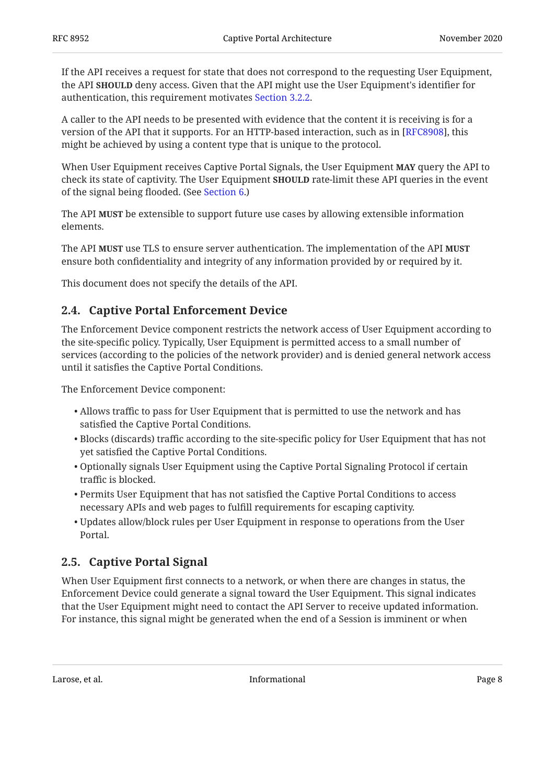If the API receives a request for state that does not correspond to the requesting User Equipment, the API **SHOULD** deny access. Given that the API might use the User Equipment's identifier for authentication, this requirement motivates [Section 3.2.2.](#page-10-1)

A caller to the API needs to be presented with evidence that the content it is receiving is for a version of the API that it supports. For an HTTP-based interaction, such as in [RFC8908], this might be achieved by using a content type that is unique to the protocol.

When User Equipment receives Captive Portal Signals, the User Equipment **MAY** query the API to check its state of captivity. The User Equipment **SHOULD** rate-limit these API queries in the event of the signal being flooded. (See [Section 6.](#page-14-2))

The API **MUST** be extensible to support future use cases by allowing extensible information elements.

The API **MUST** use TLS to ensure server authentication. The implementation of the API **MUST** ensure both confidentiality and integrity of any information provided by or required by it.

<span id="page-7-0"></span>This document does not specify the details of the API.

#### **[2.4. Captive Portal Enforcement Device](#page-7-0)**

The Enforcement Device component restricts the network access of User Equipment according to the site-specific policy. Typically, User Equipment is permitted access to a small number of services (according to the policies of the network provider) and is denied general network access until it satisfies the Captive Portal Conditions.

The Enforcement Device component:

- Allows traffic to pass for User Equipment that is permitted to use the network and has satisfied the Captive Portal Conditions.
- $\bullet$  Blocks (discards) traffic according to the site-specific policy for User Equipment that has not yet satisfied the Captive Portal Conditions.
- Optionally signals User Equipment using the Captive Portal Signaling Protocol if certain traffic is blocked.
- Permits User Equipment that has not satisfied the Captive Portal Conditions to access necessary APIs and web pages to fulfill requirements for escaping captivity.
- $\bullet$  Updates allow/block rules per User Equipment in response to operations from the User Portal.

### <span id="page-7-1"></span>**[2.5. Captive Portal Signal](#page-7-1)**

When User Equipment first connects to a network, or when there are changes in status, the Enforcement Device could generate a signal toward the User Equipment. This signal indicates that the User Equipment might need to contact the API Server to receive updated information. For instance, this signal might be generated when the end of a Session is imminent or when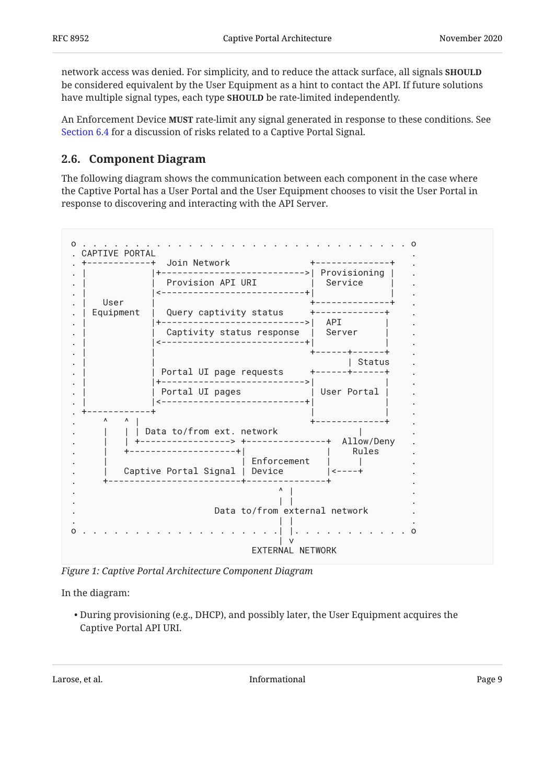network access was denied. For simplicity, and to reduce the attack surface, all signals **SHOULD** be considered equivalent by the User Equipment as a hint to contact the API. If future solutions have multiple signal types, each type **SHOULD** be rate-limited independently.

An Enforcement Device **MUST** rate-limit any signal generated in response to these conditions. See [Section 6.4](#page-15-1) for a discussion of risks related to a Captive Portal Signal.

#### <span id="page-8-0"></span>**[2.6. Component Diagram](#page-8-0)**

The following diagram shows the communication between each component in the case where the Captive Portal has a User Portal and the User Equipment chooses to visit the User Portal in response to discovering and interacting with the API Server.

<span id="page-8-1"></span>

| CAPTIVE PORTAL<br>-----------+ | Join Network<br>------------------>  Provisioning      |                               |  |
|--------------------------------|--------------------------------------------------------|-------------------------------|--|
|                                | Provision API URI                                      | Service                       |  |
| User<br>Equipment              | ------------------------+<br>Query captivity status    | +--------------<br>$--->$ API |  |
|                                | Captivity status response   Server                     |                               |  |
|                                | Portal UI page requests                                | Status<br>+------+------+     |  |
|                                | Portal UI pages<br>. _ _ _ _ _ _ _ _ _ _ _ _ _ _ _ _ _ | User Portal                   |  |
| Λ<br>Λ                         | Data to/from ext. network                              |                               |  |
|                                | +--------------+<br>------------<br>------------+      | Allow/Deny<br>Rules           |  |
|                                | Enforcement<br>Captive Portal Signal   Device          | $\vert$ < - - - - +           |  |
|                                |                                                        |                               |  |
|                                | Data to/from external network                          |                               |  |
|                                | EXTERNAL NETWORK                                       |                               |  |

*[Figure 1: Captive Portal Architecture Component Diagram](#page-8-1)* 

In the diagram:

During provisioning (e.g., DHCP), and possibly later, the User Equipment acquires the • Captive Portal API URI.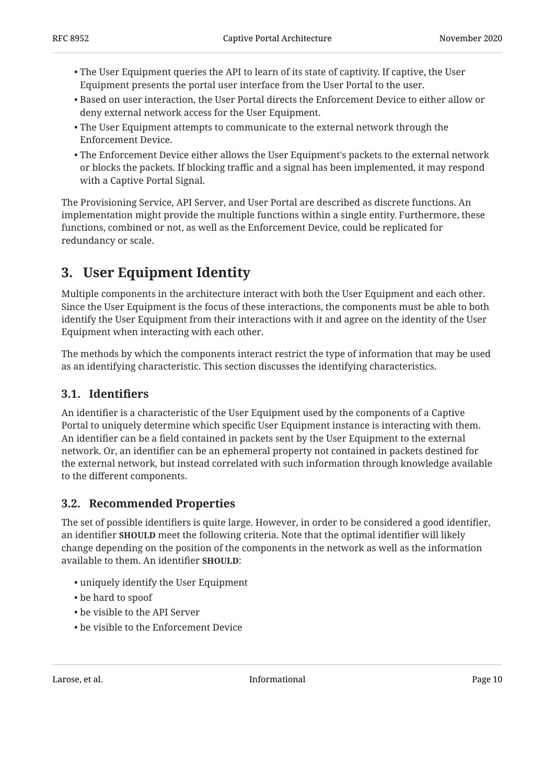- $\bullet$  The User Equipment queries the API to learn of its state of captivity. If captive, the User Equipment presents the portal user interface from the User Portal to the user.
- $\bullet$  Based on user interaction, the User Portal directs the Enforcement Device to either allow or deny external network access for the User Equipment.
- The User Equipment attempts to communicate to the external network through the Enforcement Device.
- The Enforcement Device either allows the User Equipment's packets to the external network or blocks the packets. If blocking traffic and a signal has been implemented, it may respond with a Captive Portal Signal.

The Provisioning Service, API Server, and User Portal are described as discrete functions. An implementation might provide the multiple functions within a single entity. Furthermore, these functions, combined or not, as well as the Enforcement Device, could be replicated for redundancy or scale.

# <span id="page-9-0"></span>**[3. User Equipment Identity](#page-9-0)**

Multiple components in the architecture interact with both the User Equipment and each other. Since the User Equipment is the focus of these interactions, the components must be able to both identify the User Equipment from their interactions with it and agree on the identity of the User Equipment when interacting with each other.

The methods by which the components interact restrict the type of information that may be used as an identifying characteristic. This section discusses the identifying characteristics.

## <span id="page-9-1"></span>**[3.1. Identi](#page-9-1)fiers**

An identifier is a characteristic of the User Equipment used by the components of a Captive Portal to uniquely determine which specific User Equipment instance is interacting with them. An identifier can be a field contained in packets sent by the User Equipment to the external network. Or, an identifier can be an ephemeral property not contained in packets destined for the external network, but instead correlated with such information through knowledge available to the different components.

## <span id="page-9-2"></span>**[3.2. Recommended Properties](#page-9-2)**

The set of possible identifiers is quite large. However, in order to be considered a good identifier, an identifier **SHOULD** meet the following criteria. Note that the optimal identifier will likely change depending on the position of the components in the network as well as the information available to them. An identifier **SHOULD**:

- uniquely identify the User Equipment •
- be hard to spoof •
- be visible to the API Server •
- be visible to the Enforcement Device •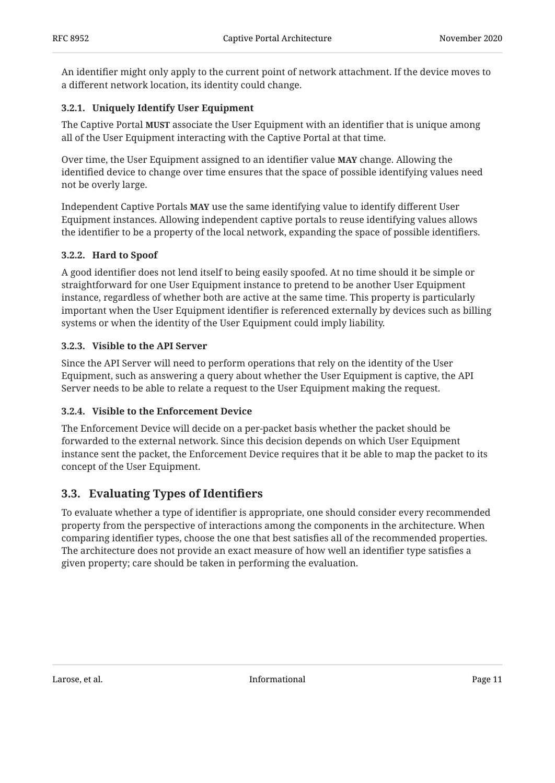An identifier might only apply to the current point of network attachment. If the device moves to a different network location, its identity could change.

#### <span id="page-10-0"></span>**[3.2.1. Uniquely Identify User Equipment](#page-10-0)**

The Captive Portal **MUST** associate the User Equipment with an identifier that is unique among all of the User Equipment interacting with the Captive Portal at that time.

Over time, the User Equipment assigned to an identifier value **MAY** change. Allowing the identified device to change over time ensures that the space of possible identifying values need not be overly large.

Independent Captive Portals **MAY** use the same identifying value to identify different User Equipment instances. Allowing independent captive portals to reuse identifying values allows the identifier to be a property of the local network, expanding the space of possible identifiers.

#### <span id="page-10-1"></span>**[3.2.2. Hard to Spoof](#page-10-1)**

A good identifier does not lend itself to being easily spoofed. At no time should it be simple or straightforward for one User Equipment instance to pretend to be another User Equipment instance, regardless of whether both are active at the same time. This property is particularly important when the User Equipment identifier is referenced externally by devices such as billing systems or when the identity of the User Equipment could imply liability.

#### <span id="page-10-2"></span>**[3.2.3. Visible to the API Server](#page-10-2)**

Since the API Server will need to perform operations that rely on the identity of the User Equipment, such as answering a query about whether the User Equipment is captive, the API Server needs to be able to relate a request to the User Equipment making the request.

#### <span id="page-10-3"></span>**[3.2.4. Visible to the Enforcement Device](#page-10-3)**

The Enforcement Device will decide on a per-packet basis whether the packet should be forwarded to the external network. Since this decision depends on which User Equipment instance sent the packet, the Enforcement Device requires that it be able to map the packet to its concept of the User Equipment.

### <span id="page-10-4"></span>**[3.3. Evaluating Types of Identi](#page-10-4)fiers**

To evaluate whether a type of identifier is appropriate, one should consider every recommended property from the perspective of interactions among the components in the architecture. When comparing identifier types, choose the one that best satisfies all of the recommended properties. The architecture does not provide an exact measure of how well an identifier type satisfies a given property; care should be taken in performing the evaluation.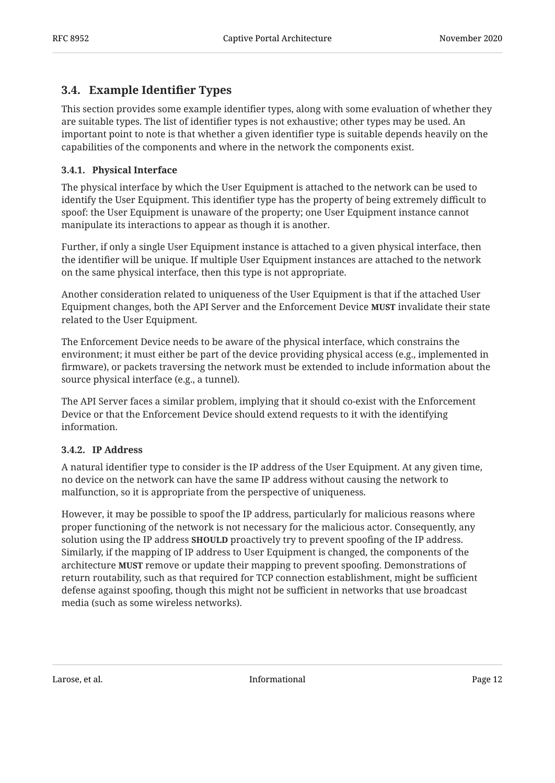## <span id="page-11-0"></span>**[3.4. Example Identi](#page-11-0)fier Types**

This section provides some example identifier types, along with some evaluation of whether they are suitable types. The list of identifier types is not exhaustive; other types may be used. An important point to note is that whether a given identifier type is suitable depends heavily on the capabilities of the components and where in the network the components exist.

#### <span id="page-11-1"></span>**[3.4.1. Physical Interface](#page-11-1)**

The physical interface by which the User Equipment is attached to the network can be used to identify the User Equipment. This identifier type has the property of being extremely difficult to spoof: the User Equipment is unaware of the property; one User Equipment instance cannot manipulate its interactions to appear as though it is another.

Further, if only a single User Equipment instance is attached to a given physical interface, then the identifier will be unique. If multiple User Equipment instances are attached to the network on the same physical interface, then this type is not appropriate.

Another consideration related to uniqueness of the User Equipment is that if the attached User Equipment changes, both the API Server and the Enforcement Device **MUST** invalidate their state related to the User Equipment.

The Enforcement Device needs to be aware of the physical interface, which constrains the environment; it must either be part of the device providing physical access (e.g., implemented in firmware), or packets traversing the network must be extended to include information about the source physical interface (e.g., a tunnel).

The API Server faces a similar problem, implying that it should co-exist with the Enforcement Device or that the Enforcement Device should extend requests to it with the identifying information.

#### <span id="page-11-2"></span>**[3.4.2. IP Address](#page-11-2)**

A natural identifier type to consider is the IP address of the User Equipment. At any given time, no device on the network can have the same IP address without causing the network to malfunction, so it is appropriate from the perspective of uniqueness.

However, it may be possible to spoof the IP address, particularly for malicious reasons where proper functioning of the network is not necessary for the malicious actor. Consequently, any solution using the IP address **SHOULD** proactively try to prevent spoofing of the IP address. Similarly, if the mapping of IP address to User Equipment is changed, the components of the architecture **MUST** remove or update their mapping to prevent spoofing. Demonstrations of return routability, such as that required for TCP connection establishment, might be sufficient defense against spoofing, though this might not be sufficient in networks that use broadcast media (such as some wireless networks).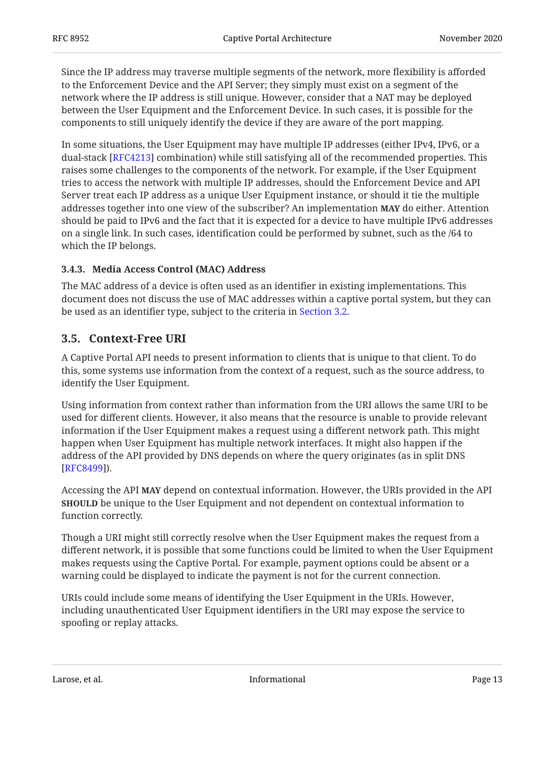Since the IP address may traverse multiple segments of the network, more flexibility is afforded to the Enforcement Device and the API Server; they simply must exist on a segment of the network where the IP address is still unique. However, consider that a NAT may be deployed between the User Equipment and the Enforcement Device. In such cases, it is possible for the components to still uniquely identify the device if they are aware of the port mapping.

In some situations, the User Equipment may have multiple IP addresses (either IPv4, IPv6, or a dual-stack [[RFC4213\]](#page-17-5) combination) while still satisfying all of the recommended properties. This raises some challenges to the components of the network. For example, if the User Equipment tries to access the network with multiple IP addresses, should the Enforcement Device and API Server treat each IP address as a unique User Equipment instance, or should it tie the multiple addresses together into one view of the subscriber? An implementation MAY do either. Attention should be paid to IPv6 and the fact that it is expected for a device to have multiple IPv6 addresses on a single link. In such cases, identification could be performed by subnet, such as the /64 to which the IP belongs.

#### <span id="page-12-0"></span>**[3.4.3. Media Access Control \(MAC\) Address](#page-12-0)**

The MAC address of a device is often used as an identifier in existing implementations. This document does not discuss the use of MAC addresses within a captive portal system, but they can be used as an identifier type, subject to the criteria in [Section 3.2](#page-9-2).

#### <span id="page-12-1"></span>**[3.5. Context-Free URI](#page-12-1)**

A Captive Portal API needs to present information to clients that is unique to that client. To do this, some systems use information from the context of a request, such as the source address, to identify the User Equipment.

Using information from context rather than information from the URI allows the same URI to be used for different clients. However, it also means that the resource is unable to provide relevant information if the User Equipment makes a request using a different network path. This might happen when User Equipment has multiple network interfaces. It might also happen if the address of the API provided by DNS depends on where the query originates (as in split DNS ). [[RFC8499\]](#page-17-6)

Accessing the API **MAY** depend on contextual information. However, the URIs provided in the API **SHOULD** be unique to the User Equipment and not dependent on contextual information to function correctly.

Though a URI might still correctly resolve when the User Equipment makes the request from a different network, it is possible that some functions could be limited to when the User Equipment makes requests using the Captive Portal. For example, payment options could be absent or a warning could be displayed to indicate the payment is not for the current connection.

URIs could include some means of identifying the User Equipment in the URIs. However, including unauthenticated User Equipment identifiers in the URI may expose the service to spoofing or replay attacks.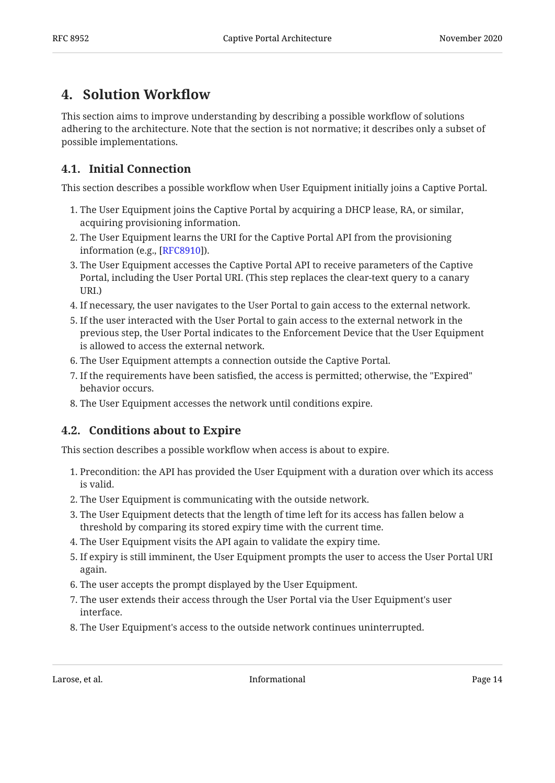# <span id="page-13-0"></span>**[4. Solution Work](#page-13-0)flow**

This section aims to improve understanding by describing a possible workflow of solutions adhering to the architecture. Note that the section is not normative; it describes only a subset of possible implementations.

## <span id="page-13-1"></span>**[4.1. Initial Connection](#page-13-1)**

This section describes a possible workflow when User Equipment initially joins a Captive Portal.

- 1. The User Equipment joins the Captive Portal by acquiring a DHCP lease, RA, or similar, acquiring provisioning information.
- 2. The User Equipment learns the URI for the Captive Portal API from the provisioning information (e.g., [<mark>RFC8910</mark>]).
- 3. The User Equipment accesses the Captive Portal API to receive parameters of the Captive Portal, including the User Portal URI. (This step replaces the clear-text query to a canary URI.)
- If necessary, the user navigates to the User Portal to gain access to the external network. 4.
- 5. If the user interacted with the User Portal to gain access to the external network in the previous step, the User Portal indicates to the Enforcement Device that the User Equipment is allowed to access the external network.
- 6. The User Equipment attempts a connection outside the Captive Portal.
- If the requirements have been satisfied, the access is permitted; otherwise, the "Expired" 7. behavior occurs.
- <span id="page-13-2"></span>The User Equipment accesses the network until conditions expire. 8.

## **[4.2. Conditions about to Expire](#page-13-2)**

This section describes a possible workflow when access is about to expire.

- 1. Precondition: the API has provided the User Equipment with a duration over which its access is valid.
- 2. The User Equipment is communicating with the outside network.
- 3. The User Equipment detects that the length of time left for its access has fallen below a threshold by comparing its stored expiry time with the current time.
- The User Equipment visits the API again to validate the expiry time. 4.
- 5. If expiry is still imminent, the User Equipment prompts the user to access the User Portal URI again.
- 6. The user accepts the prompt displayed by the User Equipment.
- 7. The user extends their access through the User Portal via the User Equipment's user interface.
- 8. The User Equipment's access to the outside network continues uninterrupted.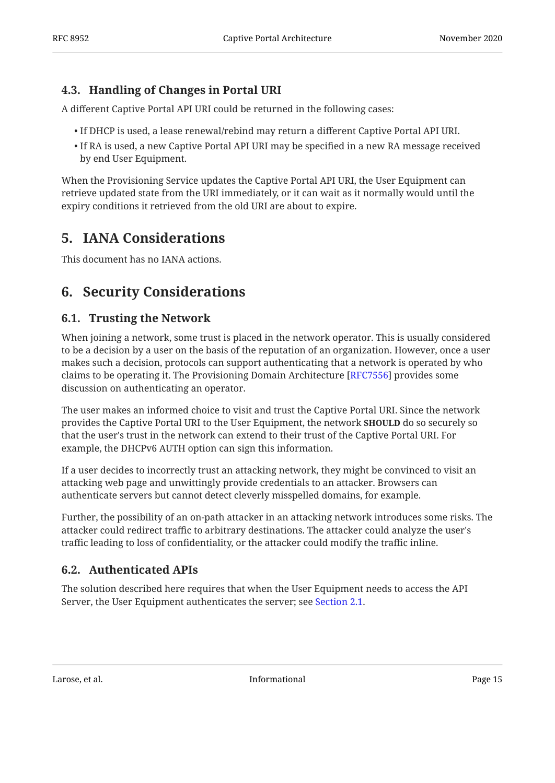## <span id="page-14-0"></span>**[4.3. Handling of Changes in Portal URI](#page-14-0)**

A different Captive Portal API URI could be returned in the following cases:

- $\bullet$  If DHCP is used, a lease renewal/rebind may return a different Captive Portal API URI.
- $\bullet$  If RA is used, a new Captive Portal API URI may be specified in a new RA message received by end User Equipment.

When the Provisioning Service updates the Captive Portal API URI, the User Equipment can retrieve updated state from the URI immediately, or it can wait as it normally would until the expiry conditions it retrieved from the old URI are about to expire.

# <span id="page-14-1"></span>**[5. IANA Considerations](#page-14-1)**

<span id="page-14-2"></span>This document has no IANA actions.

## <span id="page-14-3"></span>**[6. Security Considerations](#page-14-2)**

#### **[6.1. Trusting the Network](#page-14-3)**

When joining a network, some trust is placed in the network operator. This is usually considered to be a decision by a user on the basis of the reputation of an organization. However, once a user makes such a decision, protocols can support authenticating that a network is operated by who claims to be operating it. The Provisioning Domain Architecture [[RFC7556\]](#page-16-7) provides some discussion on authenticating an operator.

The user makes an informed choice to visit and trust the Captive Portal URI. Since the network provides the Captive Portal URI to the User Equipment, the network **SHOULD** do so securely so that the user's trust in the network can extend to their trust of the Captive Portal URI. For example, the DHCPv6 AUTH option can sign this information.

If a user decides to incorrectly trust an attacking network, they might be convinced to visit an attacking web page and unwittingly provide credentials to an attacker. Browsers can authenticate servers but cannot detect cleverly misspelled domains, for example.

Further, the possibility of an on-path attacker in an attacking network introduces some risks. The attacker could redirect traffic to arbitrary destinations. The attacker could analyze the user's traffic leading to loss of confidentiality, or the attacker could modify the traffic inline.

### <span id="page-14-4"></span>**[6.2. Authenticated APIs](#page-14-4)**

The solution described here requires that when the User Equipment needs to access the API Server, the User Equipment authenticates the server; see [Section 2.1](#page-5-1).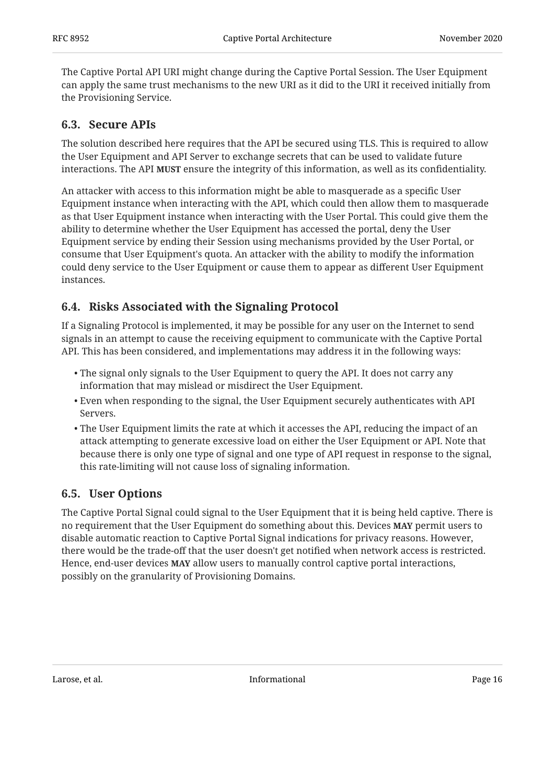The Captive Portal API URI might change during the Captive Portal Session. The User Equipment can apply the same trust mechanisms to the new URI as it did to the URI it received initially from the Provisioning Service.

## <span id="page-15-0"></span>**[6.3. Secure APIs](#page-15-0)**

The solution described here requires that the API be secured using TLS. This is required to allow the User Equipment and API Server to exchange secrets that can be used to validate future interactions. The API **MUST** ensure the integrity of this information, as well as its confidentiality.

An attacker with access to this information might be able to masquerade as a specific User Equipment instance when interacting with the API, which could then allow them to masquerade as that User Equipment instance when interacting with the User Portal. This could give them the ability to determine whether the User Equipment has accessed the portal, deny the User Equipment service by ending their Session using mechanisms provided by the User Portal, or consume that User Equipment's quota. An attacker with the ability to modify the information could deny service to the User Equipment or cause them to appear as different User Equipment instances.

## <span id="page-15-1"></span>**[6.4. Risks Associated with the Signaling Protocol](#page-15-1)**

If a Signaling Protocol is implemented, it may be possible for any user on the Internet to send signals in an attempt to cause the receiving equipment to communicate with the Captive Portal API. This has been considered, and implementations may address it in the following ways:

- The signal only signals to the User Equipment to query the API. It does not carry any information that may mislead or misdirect the User Equipment.
- $\bullet$  Even when responding to the signal, the User Equipment securely authenticates with API Servers.
- The User Equipment limits the rate at which it accesses the API, reducing the impact of an attack attempting to generate excessive load on either the User Equipment or API. Note that because there is only one type of signal and one type of API request in response to the signal, this rate-limiting will not cause loss of signaling information.

### <span id="page-15-2"></span>**[6.5. User Options](#page-15-2)**

The Captive Portal Signal could signal to the User Equipment that it is being held captive. There is no requirement that the User Equipment do something about this. Devices **MAY** permit users to disable automatic reaction to Captive Portal Signal indications for privacy reasons. However, there would be the trade-off that the user doesn't get notified when network access is restricted. Hence, end-user devices **MAY** allow users to manually control captive portal interactions, possibly on the granularity of Provisioning Domains.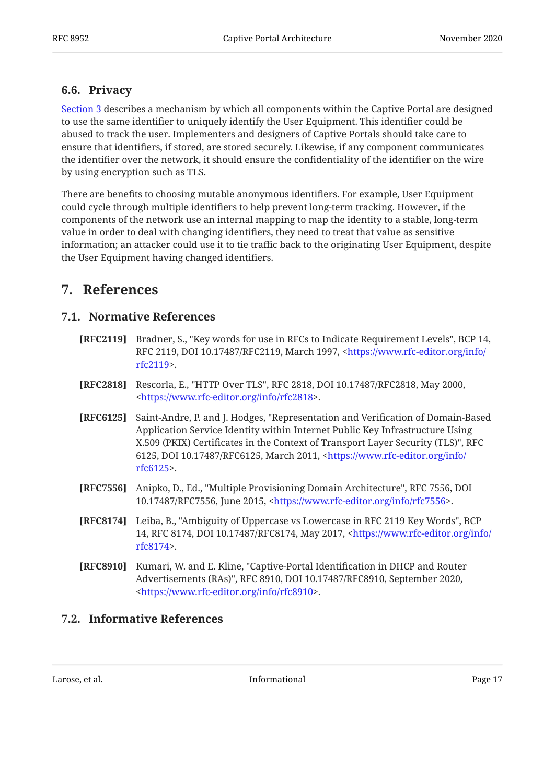#### <span id="page-16-0"></span>**[6.6. Privacy](#page-16-0)**

[Section 3](#page-9-0) describes a mechanism by which all components within the Captive Portal are designed to use the same identifier to uniquely identify the User Equipment. This identifier could be abused to track the user. Implementers and designers of Captive Portals should take care to ensure that identifiers, if stored, are stored securely. Likewise, if any component communicates the identifier over the network, it should ensure the confidentiality of the identifier on the wire by using encryption such as TLS.

There are benefits to choosing mutable anonymous identifiers. For example, User Equipment could cycle through multiple identifiers to help prevent long-term tracking. However, if the components of the network use an internal mapping to map the identity to a stable, long-term value in order to deal with changing identifiers, they need to treat that value as sensitive information; an attacker could use it to tie traffic back to the originating User Equipment, despite the User Equipment having changed identifiers.

## <span id="page-16-2"></span><span id="page-16-1"></span>**[7. References](#page-16-1)**

#### **[7.1. Normative References](#page-16-2)**

- <span id="page-16-5"></span>**[RFC2119]** Bradner, S., "Key words for use in RFCs to Indicate Requirement Levels", BCP 14, RFC 2119, DOI 10.17487/RFC2119, March 1997, <[https://www.rfc-editor.org/info/](https://www.rfc-editor.org/info/rfc2119) . [rfc2119>](https://www.rfc-editor.org/info/rfc2119)
- <span id="page-16-8"></span>**[RFC2818]** Rescorla, E., "HTTP Over TLS", RFC 2818, DOI 10.17487/RFC2818, May 2000, . [<https://www.rfc-editor.org/info/rfc2818](https://www.rfc-editor.org/info/rfc2818)>
- <span id="page-16-9"></span>**[RFC6125]** Saint-Andre, P. and J. Hodges, "Representation and Verification of Domain-Based , X.509 (PKIX) Certificates in the Context of Transport Layer Security (TLS)" RFC 6125, DOI 10.17487/RFC6125, March 2011, <[https://www.rfc-editor.org/info/](https://www.rfc-editor.org/info/rfc6125) . [rfc6125>](https://www.rfc-editor.org/info/rfc6125) Application Service Identity within Internet Public Key Infrastructure Using
- <span id="page-16-7"></span>**[RFC7556]** Anipko, D., Ed., "Multiple Provisioning Domain Architecture", RFC 7556, DOI 10.17487/RFC7556, June 2015, <https://www.rfc-editor.org/info/rfc7556>.
- <span id="page-16-6"></span>**[RFC8174]** Leiba, B., "Ambiguity of Uppercase vs Lowercase in RFC 2119 Key Words", BCP 14, RFC 8174, DOI 10.17487/RFC8174, May 2017, [<https://www.rfc-editor.org/info/](https://www.rfc-editor.org/info/rfc8174) . [rfc8174>](https://www.rfc-editor.org/info/rfc8174)
- <span id="page-16-4"></span>**[RFC8910]** Kumari, W. and E. Kline, "Captive-Portal Identification in DHCP and Router Advertisements (RAs)", RFC 8910, DOI 10.17487/RFC8910, September 2020, . [<https://www.rfc-editor.org/info/rfc8910](https://www.rfc-editor.org/info/rfc8910)>

#### <span id="page-16-3"></span>**[7.2. Informative References](#page-16-3)**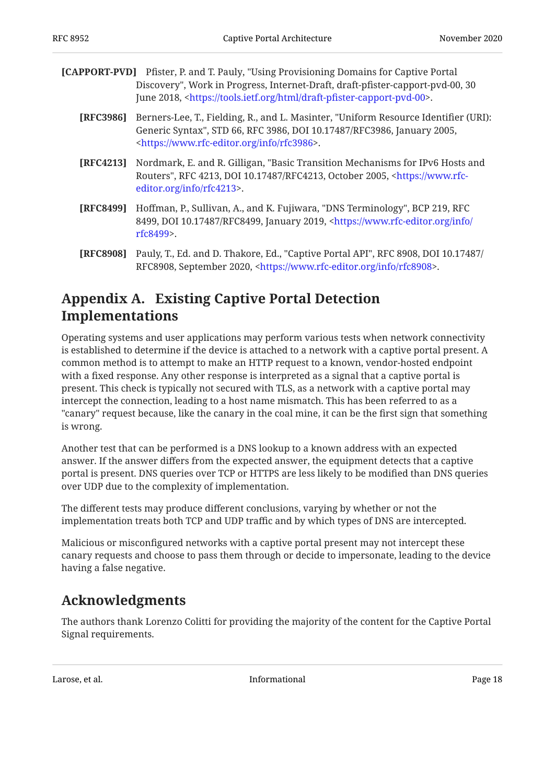<span id="page-17-3"></span>

| <b>[CAPPORT-PVD]</b> Pfister, P. and T. Pauly, "Using Provisioning Domains for Captive Portal |
|-----------------------------------------------------------------------------------------------|
| Discovery", Work in Progress, Internet-Draft, draft-pfister-capport-pvd-00, 30                |
| June 2018, <https: draft-pfister-capport-pvd-00="" html="" tools.ietf.org="">.</https:>       |

- <span id="page-17-2"></span>**[RFC3986]** , Berners-Lee, T., Fielding, R., and L. Masinter "Uniform Resource Identifier (URI): Generic Syntax", STD 66, RFC 3986, DOI 10.17487/RFC3986, January 2005, . [<https://www.rfc-editor.org/info/rfc3986](https://www.rfc-editor.org/info/rfc3986)>
- <span id="page-17-5"></span>**[RFC4213]** Nordmark, E. and R. Gilligan, "Basic Transition Mechanisms for IPv6 Hosts and Routers", RFC 4213, DOI 10.17487/RFC4213, October 2005, <[https://www.rfc-](https://www.rfc-editor.org/info/rfc4213). [editor.org/info/rfc4213>](https://www.rfc-editor.org/info/rfc4213)
- <span id="page-17-6"></span>**[RFC8499]** Hoffman, P., Sullivan, A., and K. Fujiwara, "DNS Terminology", BCP 219, RFC 8499, DOI 10.17487/RFC8499, January 2019, <[https://www.rfc-editor.org/info/](https://www.rfc-editor.org/info/rfc8499) . [rfc8499>](https://www.rfc-editor.org/info/rfc8499)
- <span id="page-17-4"></span>**[RFC8908]** Pauly, T., Ed. and D. Thakore, Ed., "Captive Portal API", RFC 8908, DOI 10.17487/ RFC8908, September 2020, <https://www.rfc-editor.org/info/rfc8908>.

# <span id="page-17-0"></span>**[Appendix A. Existing Captive Portal Detection](#page-17-0) [Implementations](#page-17-0)**

Operating systems and user applications may perform various tests when network connectivity is established to determine if the device is attached to a network with a captive portal present. A common method is to attempt to make an HTTP request to a known, vendor-hosted endpoint with a fixed response. Any other response is interpreted as a signal that a captive portal is present. This check is typically not secured with TLS, as a network with a captive portal may intercept the connection, leading to a host name mismatch. This has been referred to as a "canary" request because, like the canary in the coal mine, it can be the first sign that something is wrong.

Another test that can be performed is a DNS lookup to a known address with an expected answer. If the answer differs from the expected answer, the equipment detects that a captive portal is present. DNS queries over TCP or HTTPS are less likely to be modified than DNS queries over UDP due to the complexity of implementation.

The different tests may produce different conclusions, varying by whether or not the implementation treats both TCP and UDP traffic and by which types of DNS are intercepted.

Malicious or misconfigured networks with a captive portal present may not intercept these canary requests and choose to pass them through or decide to impersonate, leading to the device having a false negative.

# <span id="page-17-1"></span>**[Acknowledgments](#page-17-1)**

The authors thank Lorenzo Colitti for providing the majority of the content for the Captive Portal Signal requirements.